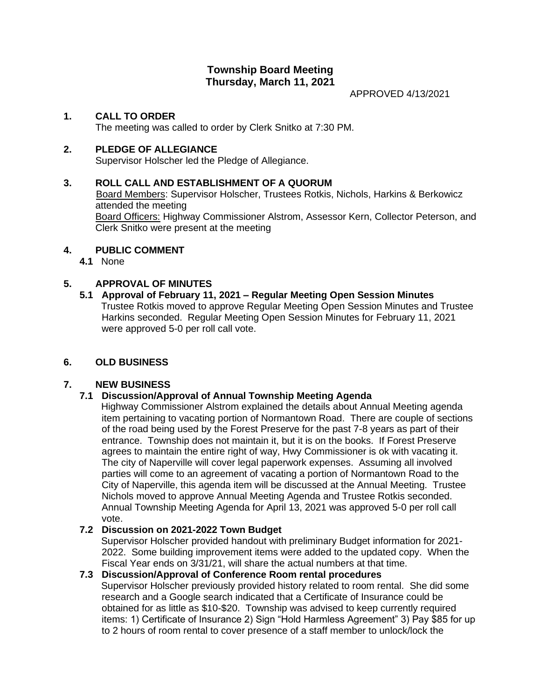### **Township Board Meeting Thursday, March 11, 2021**

APPROVED 4/13/2021

### **1. CALL TO ORDER**

The meeting was called to order by Clerk Snitko at 7:30 PM.

### **2. PLEDGE OF ALLEGIANCE**

Supervisor Holscher led the Pledge of Allegiance.

### **3. ROLL CALL AND ESTABLISHMENT OF A QUORUM**

Board Members: Supervisor Holscher, Trustees Rotkis, Nichols, Harkins & Berkowicz attended the meeting

Board Officers: Highway Commissioner Alstrom, Assessor Kern, Collector Peterson, and Clerk Snitko were present at the meeting

### **4. PUBLIC COMMENT**

**4.1** None

### **5. APPROVAL OF MINUTES**

**5.1 Approval of February 11, 2021 – Regular Meeting Open Session Minutes** Trustee Rotkis moved to approve Regular Meeting Open Session Minutes and Trustee Harkins seconded. Regular Meeting Open Session Minutes for February 11, 2021 were approved 5-0 per roll call vote.

### **6. OLD BUSINESS**

### **7. NEW BUSINESS**

### **7.1 Discussion/Approval of Annual Township Meeting Agenda**

 Highway Commissioner Alstrom explained the details about Annual Meeting agenda item pertaining to vacating portion of Normantown Road. There are couple of sections of the road being used by the Forest Preserve for the past 7-8 years as part of their entrance. Township does not maintain it, but it is on the books. If Forest Preserve agrees to maintain the entire right of way, Hwy Commissioner is ok with vacating it. The city of Naperville will cover legal paperwork expenses. Assuming all involved parties will come to an agreement of vacating a portion of Normantown Road to the City of Naperville, this agenda item will be discussed at the Annual Meeting. Trustee Nichols moved to approve Annual Meeting Agenda and Trustee Rotkis seconded. Annual Township Meeting Agenda for April 13, 2021 was approved 5-0 per roll call vote.

### **7.2 Discussion on 2021-2022 Town Budget**

 Supervisor Holscher provided handout with preliminary Budget information for 2021- 2022. Some building improvement items were added to the updated copy. When the Fiscal Year ends on 3/31/21, will share the actual numbers at that time.

### **7.3 Discussion/Approval of Conference Room rental procedures**

 Supervisor Holscher previously provided history related to room rental. She did some research and a Google search indicated that a Certificate of Insurance could be obtained for as little as \$10-\$20. Township was advised to keep currently required items: 1) Certificate of Insurance 2) Sign "Hold Harmless Agreement" 3) Pay \$85 for up to 2 hours of room rental to cover presence of a staff member to unlock/lock the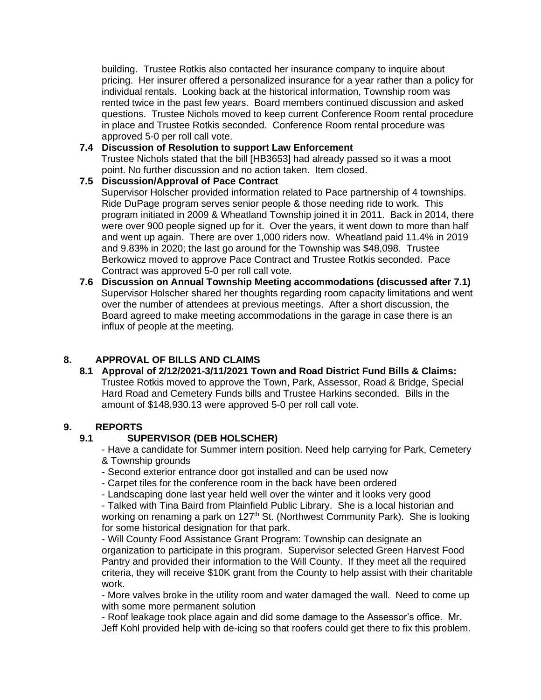building. Trustee Rotkis also contacted her insurance company to inquire about pricing. Her insurer offered a personalized insurance for a year rather than a policy for individual rentals. Looking back at the historical information, Township room was rented twice in the past few years. Board members continued discussion and asked questions. Trustee Nichols moved to keep current Conference Room rental procedure in place and Trustee Rotkis seconded. Conference Room rental procedure was approved 5-0 per roll call vote.

#### **7.4 Discussion of Resolution to support Law Enforcement** Trustee Nichols stated that the bill [HB3653] had already passed so it was a moot point. No further discussion and no action taken. Item closed.

## **7.5 Discussion/Approval of Pace Contract**

 Supervisor Holscher provided information related to Pace partnership of 4 townships. Ride DuPage program serves senior people & those needing ride to work. This program initiated in 2009 & Wheatland Township joined it in 2011. Back in 2014, there were over 900 people signed up for it. Over the years, it went down to more than half and went up again. There are over 1,000 riders now. Wheatland paid 11.4% in 2019 and 9.83% in 2020; the last go around for the Township was \$48,098. Trustee Berkowicz moved to approve Pace Contract and Trustee Rotkis seconded. Pace Contract was approved 5-0 per roll call vote.

**7.6 Discussion on Annual Township Meeting accommodations (discussed after 7.1)** Supervisor Holscher shared her thoughts regarding room capacity limitations and went over the number of attendees at previous meetings. After a short discussion, the Board agreed to make meeting accommodations in the garage in case there is an influx of people at the meeting.

### **8. APPROVAL OF BILLS AND CLAIMS**

**8.1 Approval of 2/12/2021-3/11/2021 Town and Road District Fund Bills & Claims:** Trustee Rotkis moved to approve the Town, Park, Assessor, Road & Bridge, Special Hard Road and Cemetery Funds bills and Trustee Harkins seconded. Bills in the amount of \$148,930.13 were approved 5-0 per roll call vote.

# **9. REPORTS**

### **9.1 SUPERVISOR (DEB HOLSCHER)**

- Have a candidate for Summer intern position. Need help carrying for Park, Cemetery & Township grounds

- Second exterior entrance door got installed and can be used now
- Carpet tiles for the conference room in the back have been ordered
- Landscaping done last year held well over the winter and it looks very good

- Talked with Tina Baird from Plainfield Public Library. She is a local historian and working on renaming a park on 127<sup>th</sup> St. (Northwest Community Park). She is looking for some historical designation for that park.

- Will County Food Assistance Grant Program: Township can designate an organization to participate in this program. Supervisor selected Green Harvest Food Pantry and provided their information to the Will County. If they meet all the required criteria, they will receive \$10K grant from the County to help assist with their charitable work.

- More valves broke in the utility room and water damaged the wall. Need to come up with some more permanent solution

- Roof leakage took place again and did some damage to the Assessor's office. Mr. Jeff Kohl provided help with de-icing so that roofers could get there to fix this problem.